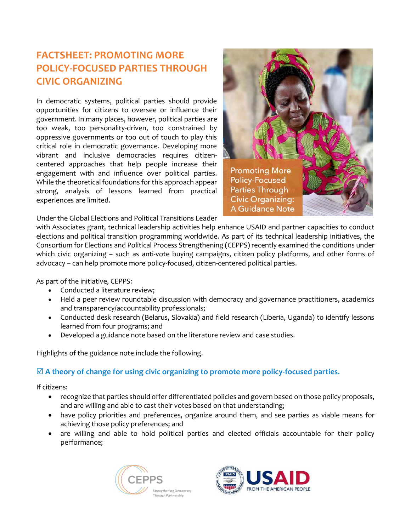## **FACTSHEET: PROMOTING MORE POLICY-FOCUSED PARTIES THROUGH CIVIC ORGANIZING**

In democratic systems, political parties should provide opportunities for citizens to oversee or influence their government. In many places, however, political parties are too weak, too personality-driven, too constrained by oppressive governments or too out of touch to play this critical role in democratic governance. Developing more vibrant and inclusive democracies requires citizencentered approaches that help people increase their engagement with and influence over political parties. While the theoretical foundations for this approach appear strong, analysis of lessons learned from practical experiences are limited.



Under the Global Elections and Political Transitions Leader

with Associates grant, technical leadership activities help enhance USAID and partner capacities to conduct elections and political transition programming worldwide. As part of its technical leadership initiatives, the Consortium for Elections and Political Process Strengthening (CEPPS) recently examined the conditions under which civic organizing – such as anti-vote buying campaigns, citizen policy platforms, and other forms of advocacy – can help promote more policy-focused, citizen-centered political parties.

As part of the initiative, CEPPS:

- Conducted a literature review;
- Held a peer review roundtable discussion with democracy and governance practitioners, academics and transparency/accountability professionals;
- Conducted desk research (Belarus, Slovakia) and field research (Liberia, Uganda) to identify lessons learned from four programs; and
- Developed a guidance note based on the literature review and case studies.

Highlights of the guidance note include the following.

## **A theory of change for using civic organizing to promote more policy-focused parties.**

If citizens:

- recognize that parties should offer differentiated policies and govern based on those policy proposals, and are willing and able to cast their votes based on that understanding;
- have policy priorities and preferences, organize around them, and see parties as viable means for achieving those policy preferences; and
- are willing and able to hold political parties and elected officials accountable for their policy performance;